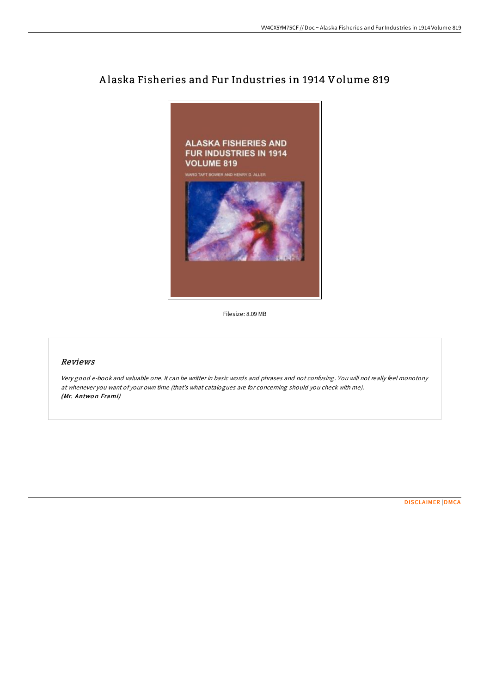

## A laska Fisheries and Fur Industries in 1914 Volume 819

Filesize: 8.09 MB

## Reviews

Very good e-book and valuable one. It can be writter in basic words and phrases and not confusing. You will not really feel monotony at whenever you want of your own time (that's what catalogues are for concerning should you check with me). (Mr. Antwon Frami)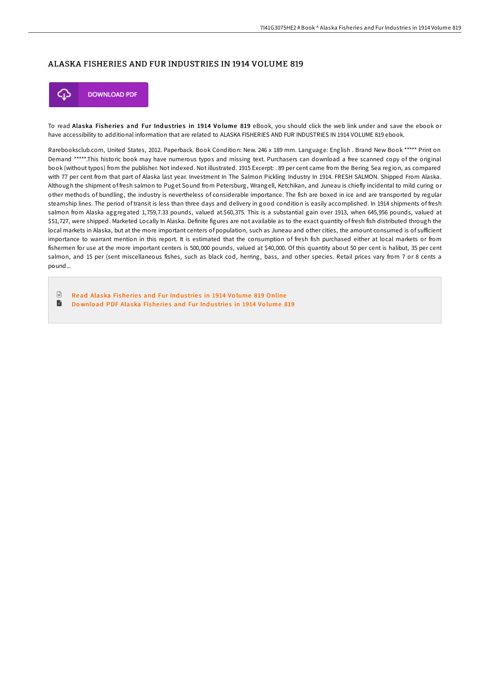## ALASKA FISHERIES AND FUR INDUSTRIES IN 1914 VOLUME 819



To read Alaska Fisheries and Fur Industries in 1914 Volume 819 eBook, you should click the web link under and save the ebook or have accessibility to additional information that are related to ALASKA FISHERIES AND FUR INDUSTRIES IN 1914 VOLUME 819 ebook.

Rarebooksclub.com, United States, 2012. Paperback. Book Condition: New. 246 x 189 mm. Language: English . Brand New Book \*\*\*\*\* Print on Demand \*\*\*\*\*.This historic book may have numerous typos and missing text. Purchasers can download a free scanned copy of the original book (without typos) from the publisher. Not indexed. Not illustrated. 1915 Excerpt: . 89 per cent came from the Bering Sea region, as compared with 77 per cent from that part of Alaska last year. Investment In The Salmon Pickling Industry In 1914. FRESH SALMON. Shipped From Alaska. Although the shipment of fresh salmon to Puget Sound from Petersburg, Wrangell, Ketchikan, and Juneau is chiefly incidental to mild curing or other methods of bundling, the industry is nevertheless of considerable importance. The fish are boxed in ice and are transported by regular steamship lines. The period of transit is less than three days and delivery in good condition is easily accomplished. In 1914 shipments of fresh salmon from Alaska aggregated 1,759,7.33 pounds, valued at.\$60,375. This is a substantial gain over 1913, when 645,956 pounds, valued at \$51,727, were shipped. Marketed Locally In Alaska. Definite figures are not available as to the exact quantity of fresh fish distributed through the local markets in Alaska, but at the more important centers of population, such as Juneau and other cities, the amount consumed is of sufficient importance to warrant mention in this report. It is estimated that the consumption of fresh fish purchased either at local markets or from fishermen for use at the more important centers is 500,000 pounds, valued at \$40,000. Of this quantity about 50 per cent is halibut, 35 per cent salmon, and 15 per (sent miscellaneous fishes, such as black cod, herring, bass, and other species. Retail prices vary from 7 or 8 cents a pound...

 $\Box$ Read [Alaska](http://almighty24.tech/alaska-fisheries-and-fur-industries-in-1914-volu.html) Fisheries and Fur Industries in 1914 Volume 819 Online  $\blacksquare$ Do wnload PDF [Alaska](http://almighty24.tech/alaska-fisheries-and-fur-industries-in-1914-volu.html) Fisheries and Fur Industries in 1914 Volume 819